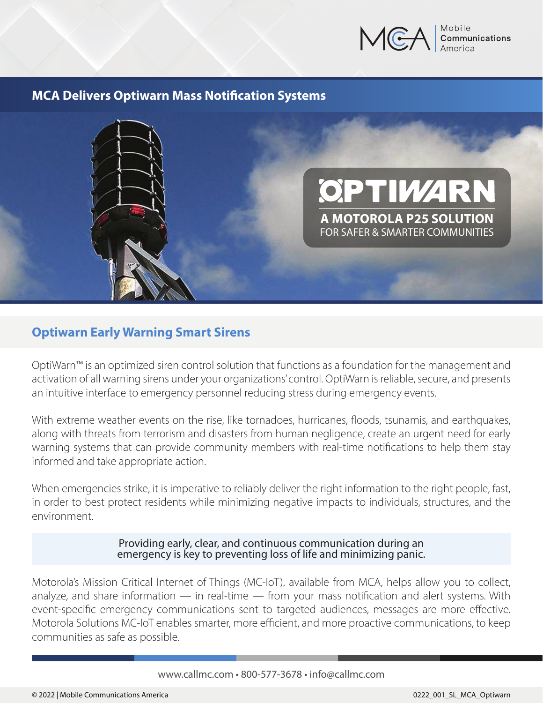

### **MCA Delivers Optiwarn Mass Notification Systems**



## **Optiwarn Early Warning Smart Sirens**

OptiWarn™ is an optimized siren control solution that functions as a foundation for the management and activation of all warning sirens under your organizations' control. OptiWarn is reliable, secure, and presents an intuitive interface to emergency personnel reducing stress during emergency events.

With extreme weather events on the rise, like tornadoes, hurricanes, floods, tsunamis, and earthquakes, along with threats from terrorism and disasters from human negligence, create an urgent need for early warning systems that can provide community members with real-time notifications to help them stay informed and take appropriate action.

When emergencies strike, it is imperative to reliably deliver the right information to the right people, fast, in order to best protect residents while minimizing negative impacts to individuals, structures, and the environment.

> Providing early, clear, and continuous communication during an emergency is key to preventing loss of life and minimizing panic.

Motorola's Mission Critical Internet of Things (MC-IoT), available from MCA, helps allow you to collect, analyze, and share information  $-$  in real-time  $-$  from your mass notification and alert systems. With event-specific emergency communications sent to targeted audiences, messages are more effective. Motorola Solutions MC-IoT enables smarter, more efficient, and more proactive communications, to keep communities as safe as possible.

### www.callmc.com • 800-577-3678 • info@callmc.com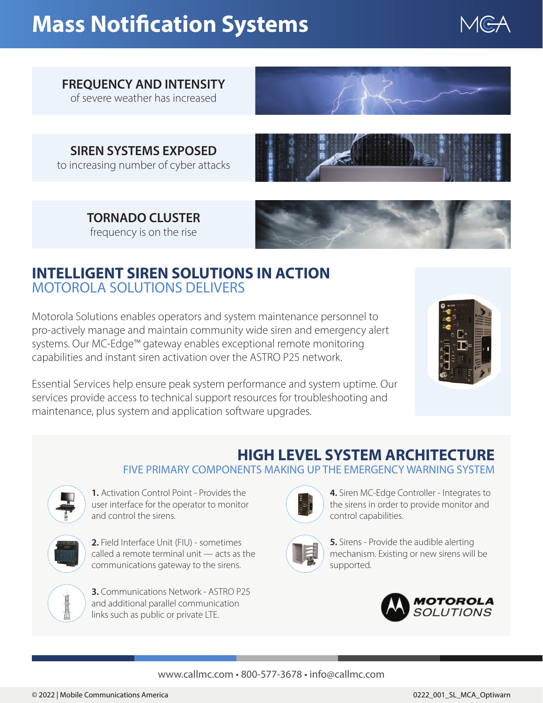# **Mass Notification Systems**



## **FREQUENCY AND INTENSITY**

of severe weather has increased



**SIREN SYSTEMS EXPOSED** to increasing number of cyber attacks



**TORNADO CLUSTER** frequency is on the rise



# **INTELLIGENT SIREN SOLUTIONS IN ACTION** MOTOROLA SOLUTIONS DELIVERS

Motorola Solutions enables operators and system maintenance personnel to pro-actively manage and maintain community wide siren and emergency alert systems. Our MC-Edge™ gateway enables exceptional remote monitoring capabilities and instant siren activation over the ASTRO P25 network.



Essential Services help ensure peak system performance and system uptime. Our services provide access to technical support resources for troubleshooting and maintenance, plus system and application software upgrades.

# **HIGH LEVEL SYSTEM ARCHITECTURE**

FIVE PRIMARY COMPONENTS MAKING UP THE EMERGENCY WARNING SYSTEM



**1.** Activation Control Point - Provides the user interface for the operator to monitor and control the sirens.



**2.** Field Interface Unit (FIU) - sometimes called a remote terminal unit — acts as the communications gateway to the sirens.



**3.** Communications Network - ASTRO P25 and additional parallel communication links such as public or private LTE.



**4.** Siren MC-Edge Controller - Integrates to the sirens in order to provide monitor and control capabilities.



**5.** Sirens - Provide the audible alerting mechanism. Existing or new sirens will be supported.



### www.callmc.com • 800-577-3678 • info@callmc.com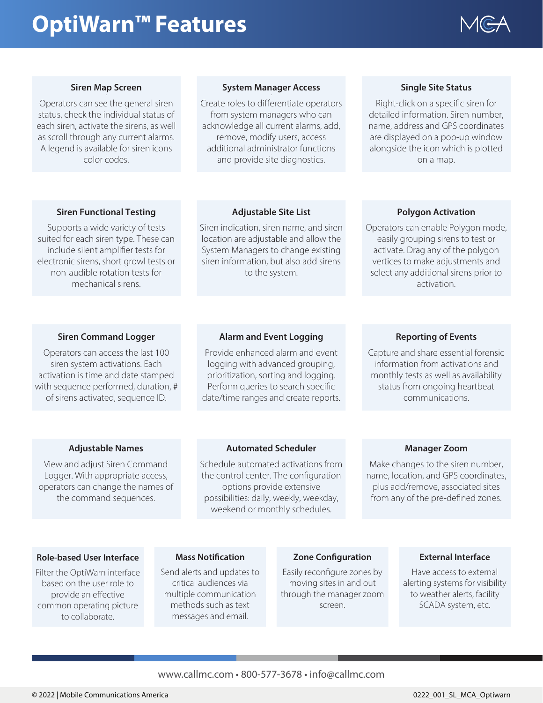# **OptiWarn™ Features**



#### **Siren Map Screen .**

Operators can see the general siren status, check the individual status of each siren, activate the sirens, as well as scroll through any current alarms. A legend is available for siren icons color codes.

#### **System Manager Access .**

Create roles to differentiate operators from system managers who can acknowledge all current alarms, add, remove, modify users, access additional administrator functions and provide site diagnostics.

#### **Single Site Status**

Right-click on a specific siren for detailed information. Siren number, name, address and GPS coordinates are displayed on a pop-up window alongside the icon which is plotted on a map.

#### **Siren Functional Testing**

Supports a wide variety of tests suited for each siren type. These can include silent amplifier tests for electronic sirens, short growl tests or non-audible rotation tests for mechanical sirens.

#### **Adjustable Site List**

Siren indication, siren name, and siren location are adjustable and allow the System Managers to change existing siren information, but also add sirens to the system.

#### **Polygon Activation**

Operators can enable Polygon mode, easily grouping sirens to test or activate. Drag any of the polygon vertices to make adjustments and select any additional sirens prior to activation.

#### **Siren Command Logger**

Operators can access the last 100 siren system activations. Each activation is time and date stamped with sequence performed, duration, # of sirens activated, sequence ID.

#### **Alarm and Event Logging**

Provide enhanced alarm and event logging with advanced grouping, prioritization, sorting and logging. Perform queries to search specific date/time ranges and create reports.

#### **Reporting of Events**

Capture and share essential forensic information from activations and monthly tests as well as availability status from ongoing heartbeat communications.

#### **Adjustable Names**

View and adjust Siren Command Logger. With appropriate access, operators can change the names of the command sequences.

#### **Automated Scheduler**

Schedule automated activations from the control center. The configuration options provide extensive possibilities: daily, weekly, weekday, weekend or monthly schedules.

#### **Manager Zoom**

Make changes to the siren number, name, location, and GPS coordinates, plus add/remove, associated sites from any of the pre-defined zones.

#### **Role-based User Interface**

Filter the OptiWarn interface based on the user role to provide an effective common operating picture to collaborate.

#### **Mass Notification**

Send alerts and updates to critical audiences via multiple communication methods such as text messages and email.

#### **Zone Configuration**

Easily reconfigure zones by moving sites in and out through the manager zoom screen.

#### **External Interface**

Have access to external alerting systems for visibility to weather alerts, facility SCADA system, etc.

#### www.callmc.com • 800-577-3678 • info@callmc.com